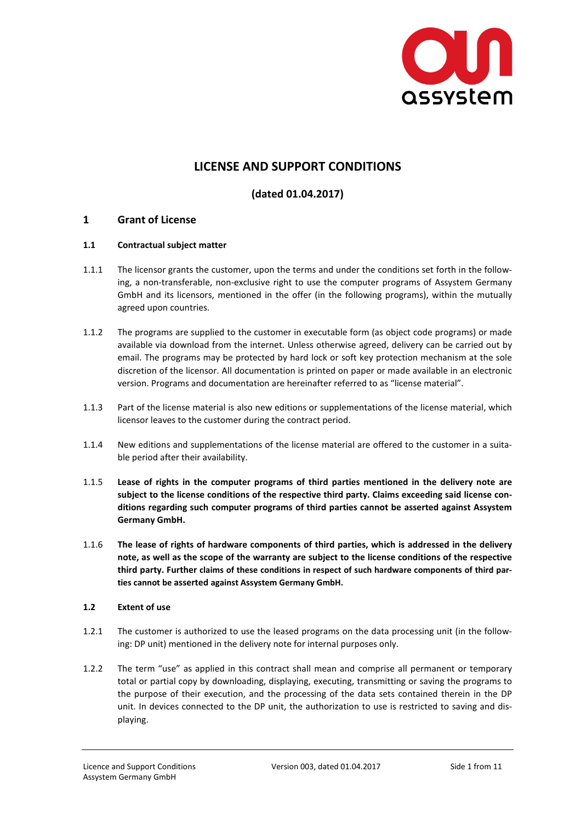

# **LICENSE AND SUPPORT CONDITIONS**

## **(dated 01.04.2017)**

## **1 Grant of License**

#### **1.1 Contractual subject matter**

- 1.1.1 The licensor grants the customer, upon the terms and under the conditions set forth in the following, a non-transferable, non-exclusive right to use the computer programs of Assystem Germany GmbH and its licensors, mentioned in the offer (in the following programs), within the mutually agreed upon countries.
- 1.1.2 The programs are supplied to the customer in executable form (as object code programs) or made available via download from the internet. Unless otherwise agreed, delivery can be carried out by email. The programs may be protected by hard lock or soft key protection mechanism at the sole discretion of the licensor. All documentation is printed on paper or made available in an electronic version. Programs and documentation are hereinafter referred to as "license material".
- 1.1.3 Part of the license material is also new editions or supplementations of the license material, which licensor leaves to the customer during the contract period.
- 1.1.4 New editions and supplementations of the license material are offered to the customer in a suitable period after their availability.
- 1.1.5 **Lease of rights in the computer programs of third parties mentioned in the delivery note are subject to the license conditions of the respective third party. Claims exceeding said license conditions regarding such computer programs of third parties cannot be asserted against Assystem Germany GmbH.**
- 1.1.6 **The lease of rights of hardware components of third parties, which is addressed in the delivery note, as well as the scope of the warranty are subject to the license conditions of the respective third party. Further claims of these conditions in respect of such hardware components of third parties cannot be asserted against Assystem Germany GmbH.**

## **1.2 Extent of use**

- 1.2.1 The customer is authorized to use the leased programs on the data processing unit (in the following: DP unit) mentioned in the delivery note for internal purposes only.
- 1.2.2 The term "use" as applied in this contract shall mean and comprise all permanent or temporary total or partial copy by downloading, displaying, executing, transmitting or saving the programs to the purpose of their execution, and the processing of the data sets contained therein in the DP unit. In devices connected to the DP unit, the authorization to use is restricted to saving and displaying.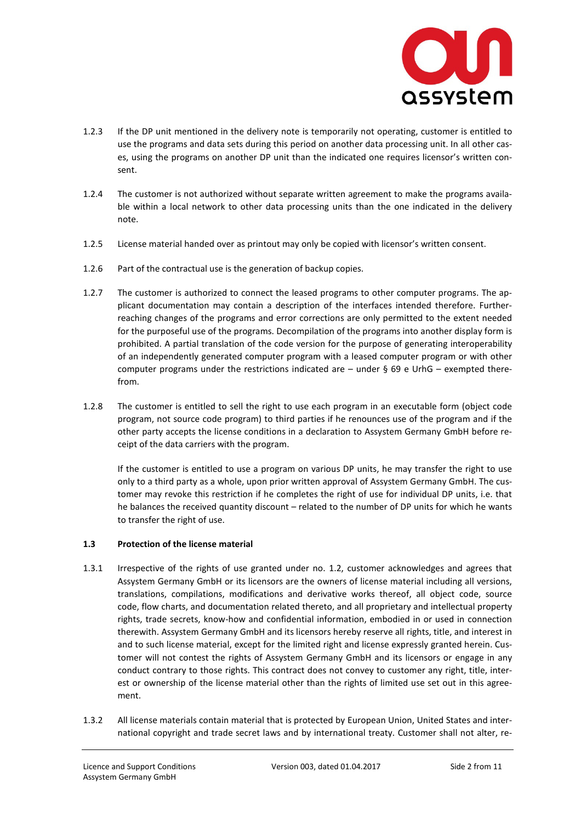

- 1.2.3 If the DP unit mentioned in the delivery note is temporarily not operating, customer is entitled to use the programs and data sets during this period on another data processing unit. In all other cases, using the programs on another DP unit than the indicated one requires licensor's written consent.
- 1.2.4 The customer is not authorized without separate written agreement to make the programs available within a local network to other data processing units than the one indicated in the delivery note.
- 1.2.5 License material handed over as printout may only be copied with licensor's written consent.
- 1.2.6 Part of the contractual use is the generation of backup copies.
- 1.2.7 The customer is authorized to connect the leased programs to other computer programs. The applicant documentation may contain a description of the interfaces intended therefore. Furtherreaching changes of the programs and error corrections are only permitted to the extent needed for the purposeful use of the programs. Decompilation of the programs into another display form is prohibited. A partial translation of the code version for the purpose of generating interoperability of an independently generated computer program with a leased computer program or with other computer programs under the restrictions indicated are  $-$  under § 69 e UrhG  $-$  exempted therefrom.
- 1.2.8 The customer is entitled to sell the right to use each program in an executable form (object code program, not source code program) to third parties if he renounces use of the program and if the other party accepts the license conditions in a declaration to Assystem Germany GmbH before receipt of the data carriers with the program.

 If the customer is entitled to use a program on various DP units, he may transfer the right to use only to a third party as a whole, upon prior written approval of Assystem Germany GmbH. The customer may revoke this restriction if he completes the right of use for individual DP units, i.e. that he balances the received quantity discount – related to the number of DP units for which he wants to transfer the right of use.

## **1.3 Protection of the license material**

- 1.3.1 Irrespective of the rights of use granted under no. 1.2, customer acknowledges and agrees that Assystem Germany GmbH or its licensors are the owners of license material including all versions, translations, compilations, modifications and derivative works thereof, all object code, source code, flow charts, and documentation related thereto, and all proprietary and intellectual property rights, trade secrets, know-how and confidential information, embodied in or used in connection therewith. Assystem Germany GmbH and its licensors hereby reserve all rights, title, and interest in and to such license material, except for the limited right and license expressly granted herein. Customer will not contest the rights of Assystem Germany GmbH and its licensors or engage in any conduct contrary to those rights. This contract does not convey to customer any right, title, interest or ownership of the license material other than the rights of limited use set out in this agreement.
- 1.3.2 All license materials contain material that is protected by European Union, United States and international copyright and trade secret laws and by international treaty. Customer shall not alter, re-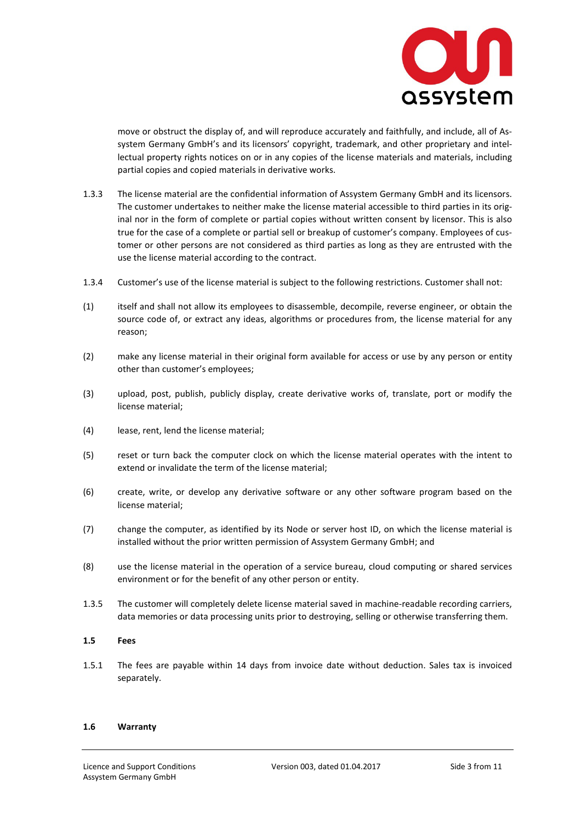

move or obstruct the display of, and will reproduce accurately and faithfully, and include, all of Assystem Germany GmbH's and its licensors' copyright, trademark, and other proprietary and intellectual property rights notices on or in any copies of the license materials and materials, including partial copies and copied materials in derivative works.

- 1.3.3 The license material are the confidential information of Assystem Germany GmbH and its licensors. The customer undertakes to neither make the license material accessible to third parties in its original nor in the form of complete or partial copies without written consent by licensor. This is also true for the case of a complete or partial sell or breakup of customer's company. Employees of customer or other persons are not considered as third parties as long as they are entrusted with the use the license material according to the contract.
- 1.3.4 Customer's use of the license material is subject to the following restrictions. Customer shall not:
- (1) itself and shall not allow its employees to disassemble, decompile, reverse engineer, or obtain the source code of, or extract any ideas, algorithms or procedures from, the license material for any reason;
- (2) make any license material in their original form available for access or use by any person or entity other than customer's employees;
- (3) upload, post, publish, publicly display, create derivative works of, translate, port or modify the license material;
- (4) lease, rent, lend the license material;
- (5) reset or turn back the computer clock on which the license material operates with the intent to extend or invalidate the term of the license material;
- (6) create, write, or develop any derivative software or any other software program based on the license material;
- (7) change the computer, as identified by its Node or server host ID, on which the license material is installed without the prior written permission of Assystem Germany GmbH; and
- (8) use the license material in the operation of a service bureau, cloud computing or shared services environment or for the benefit of any other person or entity.
- 1.3.5 The customer will completely delete license material saved in machine-readable recording carriers, data memories or data processing units prior to destroying, selling or otherwise transferring them.

#### **1.5 Fees**

1.5.1 The fees are payable within 14 days from invoice date without deduction. Sales tax is invoiced separately.

#### **1.6 Warranty**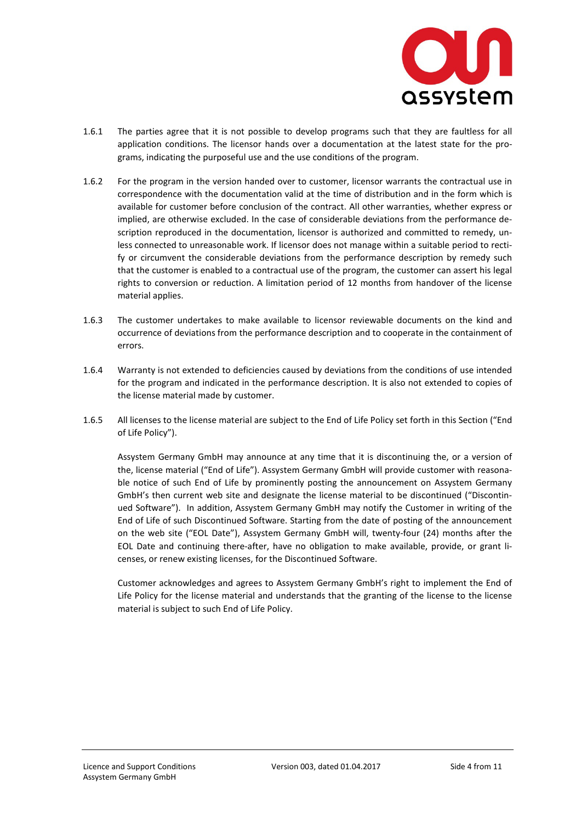

- 1.6.1 The parties agree that it is not possible to develop programs such that they are faultless for all application conditions. The licensor hands over a documentation at the latest state for the programs, indicating the purposeful use and the use conditions of the program.
- 1.6.2 For the program in the version handed over to customer, licensor warrants the contractual use in correspondence with the documentation valid at the time of distribution and in the form which is available for customer before conclusion of the contract. All other warranties, whether express or implied, are otherwise excluded. In the case of considerable deviations from the performance description reproduced in the documentation, licensor is authorized and committed to remedy, unless connected to unreasonable work. If licensor does not manage within a suitable period to rectify or circumvent the considerable deviations from the performance description by remedy such that the customer is enabled to a contractual use of the program, the customer can assert his legal rights to conversion or reduction. A limitation period of 12 months from handover of the license material applies.
- 1.6.3 The customer undertakes to make available to licensor reviewable documents on the kind and occurrence of deviations from the performance description and to cooperate in the containment of errors.
- 1.6.4 Warranty is not extended to deficiencies caused by deviations from the conditions of use intended for the program and indicated in the performance description. It is also not extended to copies of the license material made by customer.
- 1.6.5 All licenses to the license material are subject to the End of Life Policy set forth in this Section ("End of Life Policy").

Assystem Germany GmbH may announce at any time that it is discontinuing the, or a version of the, license material ("End of Life"). Assystem Germany GmbH will provide customer with reasonable notice of such End of Life by prominently posting the announcement on Assystem Germany GmbH's then current web site and designate the license material to be discontinued ("Discontinued Software"). In addition, Assystem Germany GmbH may notify the Customer in writing of the End of Life of such Discontinued Software. Starting from the date of posting of the announcement on the web site ("EOL Date"), Assystem Germany GmbH will, twenty-four (24) months after the EOL Date and continuing there-after, have no obligation to make available, provide, or grant licenses, or renew existing licenses, for the Discontinued Software.

Customer acknowledges and agrees to Assystem Germany GmbH's right to implement the End of Life Policy for the license material and understands that the granting of the license to the license material is subject to such End of Life Policy.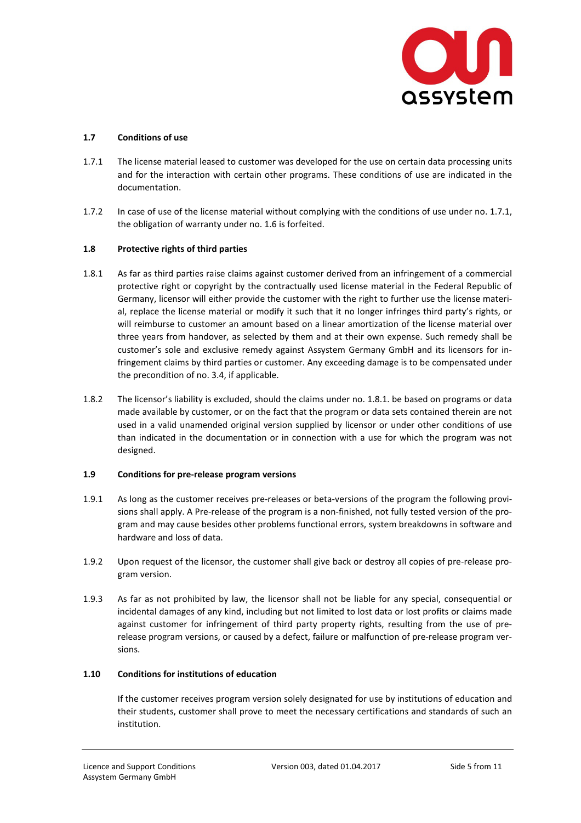

#### **1.7 Conditions of use**

- 1.7.1 The license material leased to customer was developed for the use on certain data processing units and for the interaction with certain other programs. These conditions of use are indicated in the documentation.
- 1.7.2 In case of use of the license material without complying with the conditions of use under no. 1.7.1, the obligation of warranty under no. 1.6 is forfeited.

#### **1.8 Protective rights of third parties**

- 1.8.1 As far as third parties raise claims against customer derived from an infringement of a commercial protective right or copyright by the contractually used license material in the Federal Republic of Germany, licensor will either provide the customer with the right to further use the license material, replace the license material or modify it such that it no longer infringes third party's rights, or will reimburse to customer an amount based on a linear amortization of the license material over three years from handover, as selected by them and at their own expense. Such remedy shall be customer's sole and exclusive remedy against Assystem Germany GmbH and its licensors for infringement claims by third parties or customer. Any exceeding damage is to be compensated under the precondition of no. 3.4, if applicable.
- 1.8.2 The licensor's liability is excluded, should the claims under no. 1.8.1. be based on programs or data made available by customer, or on the fact that the program or data sets contained therein are not used in a valid unamended original version supplied by licensor or under other conditions of use than indicated in the documentation or in connection with a use for which the program was not designed.

#### **1.9 Conditions for pre-release program versions**

- 1.9.1 As long as the customer receives pre-releases or beta-versions of the program the following provisions shall apply. A Pre-release of the program is a non-finished, not fully tested version of the program and may cause besides other problems functional errors, system breakdowns in software and hardware and loss of data.
- 1.9.2 Upon request of the licensor, the customer shall give back or destroy all copies of pre-release program version.
- 1.9.3 As far as not prohibited by law, the licensor shall not be liable for any special, consequential or incidental damages of any kind, including but not limited to lost data or lost profits or claims made against customer for infringement of third party property rights, resulting from the use of prerelease program versions, or caused by a defect, failure or malfunction of pre-release program versions.

#### **1.10 Conditions for institutions of education**

If the customer receives program version solely designated for use by institutions of education and their students, customer shall prove to meet the necessary certifications and standards of such an institution.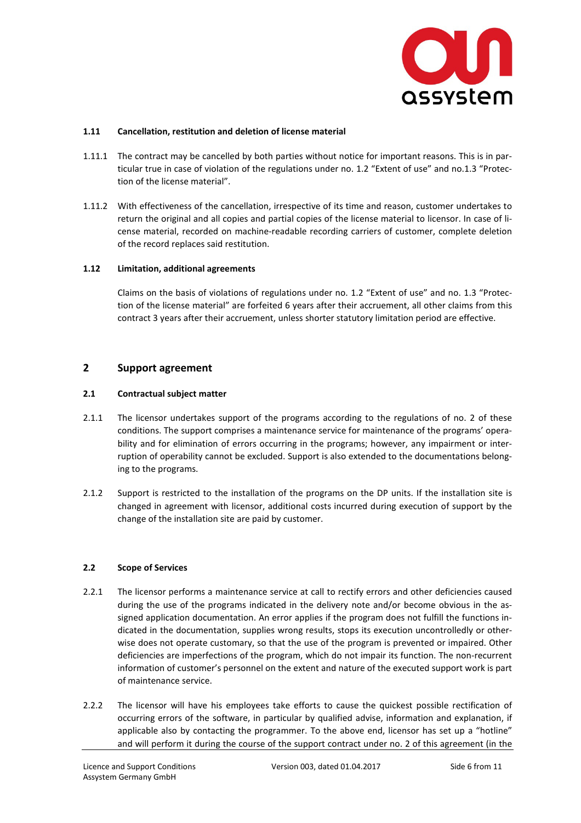

#### **1.11 Cancellation, restitution and deletion of license material**

- 1.11.1 The contract may be cancelled by both parties without notice for important reasons. This is in particular true in case of violation of the regulations under no. 1.2 "Extent of use" and no.1.3 "Protection of the license material".
- 1.11.2 With effectiveness of the cancellation, irrespective of its time and reason, customer undertakes to return the original and all copies and partial copies of the license material to licensor. In case of license material, recorded on machine-readable recording carriers of customer, complete deletion of the record replaces said restitution.

#### **1.12 Limitation, additional agreements**

 Claims on the basis of violations of regulations under no. 1.2 "Extent of use" and no. 1.3 "Protection of the license material" are forfeited 6 years after their accruement, all other claims from this contract 3 years after their accruement, unless shorter statutory limitation period are effective.

## **2 Support agreement**

#### **2.1 Contractual subject matter**

- 2.1.1 The licensor undertakes support of the programs according to the regulations of no. 2 of these conditions. The support comprises a maintenance service for maintenance of the programs' operability and for elimination of errors occurring in the programs; however, any impairment or interruption of operability cannot be excluded. Support is also extended to the documentations belonging to the programs.
- 2.1.2 Support is restricted to the installation of the programs on the DP units. If the installation site is changed in agreement with licensor, additional costs incurred during execution of support by the change of the installation site are paid by customer.

#### **2.2 Scope of Services**

- 2.2.1 The licensor performs a maintenance service at call to rectify errors and other deficiencies caused during the use of the programs indicated in the delivery note and/or become obvious in the assigned application documentation. An error applies if the program does not fulfill the functions indicated in the documentation, supplies wrong results, stops its execution uncontrolledly or otherwise does not operate customary, so that the use of the program is prevented or impaired. Other deficiencies are imperfections of the program, which do not impair its function. The non-recurrent information of customer's personnel on the extent and nature of the executed support work is part of maintenance service.
- 2.2.2 The licensor will have his employees take efforts to cause the quickest possible rectification of occurring errors of the software, in particular by qualified advise, information and explanation, if applicable also by contacting the programmer. To the above end, licensor has set up a "hotline" and will perform it during the course of the support contract under no. 2 of this agreement (in the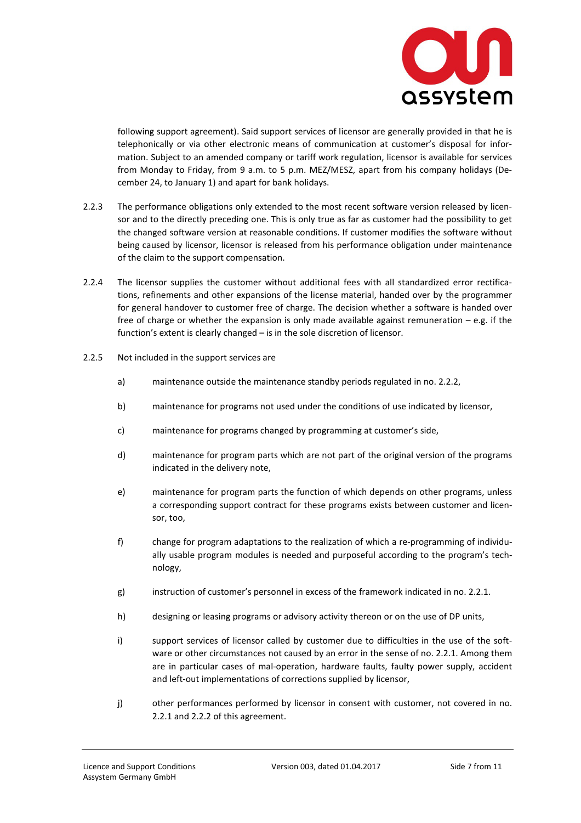

following support agreement). Said support services of licensor are generally provided in that he is telephonically or via other electronic means of communication at customer's disposal for information. Subject to an amended company or tariff work regulation, licensor is available for services from Monday to Friday, from 9 a.m. to 5 p.m. MEZ/MESZ, apart from his company holidays (December 24, to January 1) and apart for bank holidays.

- 2.2.3 The performance obligations only extended to the most recent software version released by licensor and to the directly preceding one. This is only true as far as customer had the possibility to get the changed software version at reasonable conditions. If customer modifies the software without being caused by licensor, licensor is released from his performance obligation under maintenance of the claim to the support compensation.
- 2.2.4 The licensor supplies the customer without additional fees with all standardized error rectifications, refinements and other expansions of the license material, handed over by the programmer for general handover to customer free of charge. The decision whether a software is handed over free of charge or whether the expansion is only made available against remuneration  $-e.g.$  if the function's extent is clearly changed – is in the sole discretion of licensor.
- 2.2.5 Not included in the support services are
	- a) maintenance outside the maintenance standby periods regulated in no. 2.2.2,
	- b) maintenance for programs not used under the conditions of use indicated by licensor,
	- c) maintenance for programs changed by programming at customer's side,
	- d) maintenance for program parts which are not part of the original version of the programs indicated in the delivery note,
	- e) maintenance for program parts the function of which depends on other programs, unless a corresponding support contract for these programs exists between customer and licensor, too,
	- f) change for program adaptations to the realization of which a re-programming of individually usable program modules is needed and purposeful according to the program's technology,
	- g) instruction of customer's personnel in excess of the framework indicated in no. 2.2.1.
	- h) designing or leasing programs or advisory activity thereon or on the use of DP units,
	- i) support services of licensor called by customer due to difficulties in the use of the software or other circumstances not caused by an error in the sense of no. 2.2.1. Among them are in particular cases of mal-operation, hardware faults, faulty power supply, accident and left-out implementations of corrections supplied by licensor,
	- j) other performances performed by licensor in consent with customer, not covered in no. 2.2.1 and 2.2.2 of this agreement.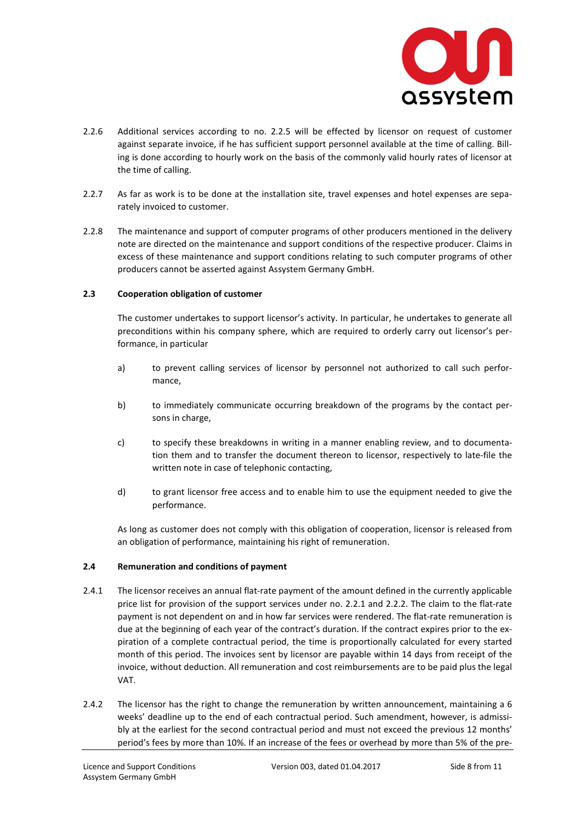

- 2.2.6 Additional services according to no. 2.2.5 will be effected by licensor on request of customer against separate invoice, if he has sufficient support personnel available at the time of calling. Billing is done according to hourly work on the basis of the commonly valid hourly rates of licensor at the time of calling.
- 2.2.7 As far as work is to be done at the installation site, travel expenses and hotel expenses are separately invoiced to customer.
- 2.2.8 The maintenance and support of computer programs of other producers mentioned in the delivery note are directed on the maintenance and support conditions of the respective producer. Claims in excess of these maintenance and support conditions relating to such computer programs of other producers cannot be asserted against Assystem Germany GmbH.

#### **2.3 Cooperation obligation of customer**

 The customer undertakes to support licensor's activity. In particular, he undertakes to generate all preconditions within his company sphere, which are required to orderly carry out licensor's performance, in particular

- a) to prevent calling services of licensor by personnel not authorized to call such performance,
- b) to immediately communicate occurring breakdown of the programs by the contact persons in charge,
- c) to specify these breakdowns in writing in a manner enabling review, and to documentation them and to transfer the document thereon to licensor, respectively to late-file the written note in case of telephonic contacting,
- d) to grant licensor free access and to enable him to use the equipment needed to give the performance.

 As long as customer does not comply with this obligation of cooperation, licensor is released from an obligation of performance, maintaining his right of remuneration.

#### **2.4 Remuneration and conditions of payment**

- 2.4.1 The licensor receives an annual flat-rate payment of the amount defined in the currently applicable price list for provision of the support services under no. 2.2.1 and 2.2.2. The claim to the flat-rate payment is not dependent on and in how far services were rendered. The flat-rate remuneration is due at the beginning of each year of the contract's duration. If the contract expires prior to the expiration of a complete contractual period, the time is proportionally calculated for every started month of this period. The invoices sent by licensor are payable within 14 days from receipt of the invoice, without deduction. All remuneration and cost reimbursements are to be paid plus the legal VAT.
- 2.4.2 The licensor has the right to change the remuneration by written announcement, maintaining a 6 weeks' deadline up to the end of each contractual period. Such amendment, however, is admissibly at the earliest for the second contractual period and must not exceed the previous 12 months' period's fees by more than 10%. If an increase of the fees or overhead by more than 5% of the pre-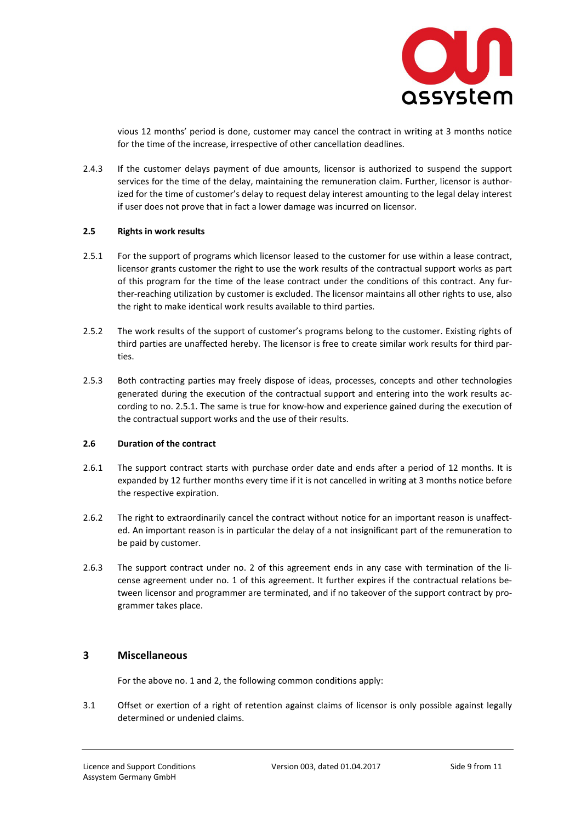

vious 12 months' period is done, customer may cancel the contract in writing at 3 months notice for the time of the increase, irrespective of other cancellation deadlines.

2.4.3 If the customer delays payment of due amounts, licensor is authorized to suspend the support services for the time of the delay, maintaining the remuneration claim. Further, licensor is authorized for the time of customer's delay to request delay interest amounting to the legal delay interest if user does not prove that in fact a lower damage was incurred on licensor.

#### **2.5 Rights in work results**

- 2.5.1 For the support of programs which licensor leased to the customer for use within a lease contract, licensor grants customer the right to use the work results of the contractual support works as part of this program for the time of the lease contract under the conditions of this contract. Any further-reaching utilization by customer is excluded. The licensor maintains all other rights to use, also the right to make identical work results available to third parties.
- 2.5.2 The work results of the support of customer's programs belong to the customer. Existing rights of third parties are unaffected hereby. The licensor is free to create similar work results for third parties.
- 2.5.3 Both contracting parties may freely dispose of ideas, processes, concepts and other technologies generated during the execution of the contractual support and entering into the work results according to no. 2.5.1. The same is true for know-how and experience gained during the execution of the contractual support works and the use of their results.

## **2.6 Duration of the contract**

- 2.6.1 The support contract starts with purchase order date and ends after a period of 12 months. It is expanded by 12 further months every time if it is not cancelled in writing at 3 months notice before the respective expiration.
- 2.6.2 The right to extraordinarily cancel the contract without notice for an important reason is unaffected. An important reason is in particular the delay of a not insignificant part of the remuneration to be paid by customer.
- 2.6.3 The support contract under no. 2 of this agreement ends in any case with termination of the license agreement under no. 1 of this agreement. It further expires if the contractual relations between licensor and programmer are terminated, and if no takeover of the support contract by programmer takes place.

## **3 Miscellaneous**

For the above no. 1 and 2, the following common conditions apply:

3.1 Offset or exertion of a right of retention against claims of licensor is only possible against legally determined or undenied claims.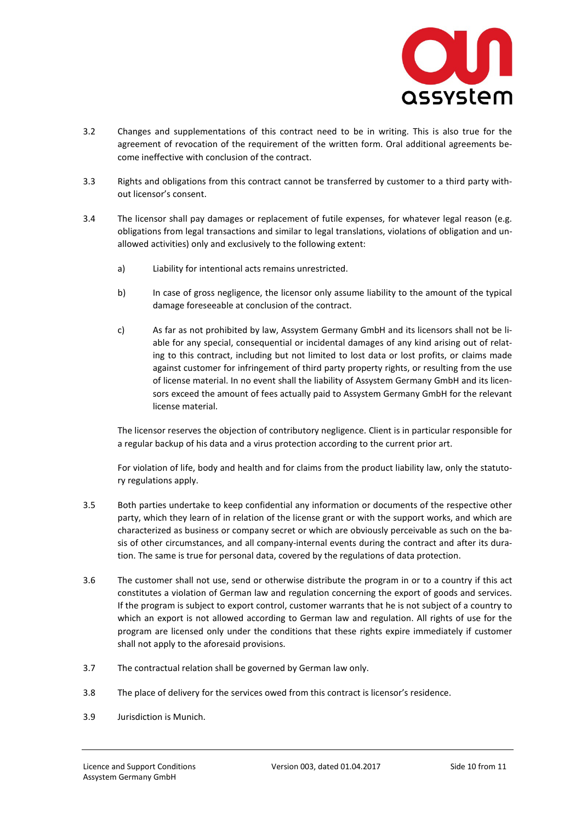

- 3.2 Changes and supplementations of this contract need to be in writing. This is also true for the agreement of revocation of the requirement of the written form. Oral additional agreements become ineffective with conclusion of the contract.
- 3.3 Rights and obligations from this contract cannot be transferred by customer to a third party without licensor's consent.
- 3.4 The licensor shall pay damages or replacement of futile expenses, for whatever legal reason (e.g. obligations from legal transactions and similar to legal translations, violations of obligation and unallowed activities) only and exclusively to the following extent:
	- a) Liability for intentional acts remains unrestricted.
	- b) In case of gross negligence, the licensor only assume liability to the amount of the typical damage foreseeable at conclusion of the contract.
	- c) As far as not prohibited by law, Assystem Germany GmbH and its licensors shall not be liable for any special, consequential or incidental damages of any kind arising out of relating to this contract, including but not limited to lost data or lost profits, or claims made against customer for infringement of third party property rights, or resulting from the use of license material. In no event shall the liability of Assystem Germany GmbH and its licensors exceed the amount of fees actually paid to Assystem Germany GmbH for the relevant license material.

 The licensor reserves the objection of contributory negligence. Client is in particular responsible for a regular backup of his data and a virus protection according to the current prior art.

 For violation of life, body and health and for claims from the product liability law, only the statutory regulations apply.

- 3.5 Both parties undertake to keep confidential any information or documents of the respective other party, which they learn of in relation of the license grant or with the support works, and which are characterized as business or company secret or which are obviously perceivable as such on the basis of other circumstances, and all company-internal events during the contract and after its duration. The same is true for personal data, covered by the regulations of data protection.
- 3.6 The customer shall not use, send or otherwise distribute the program in or to a country if this act constitutes a violation of German law and regulation concerning the export of goods and services. If the program is subject to export control, customer warrants that he is not subject of a country to which an export is not allowed according to German law and regulation. All rights of use for the program are licensed only under the conditions that these rights expire immediately if customer shall not apply to the aforesaid provisions.
- 3.7 The contractual relation shall be governed by German law only.
- 3.8 The place of delivery for the services owed from this contract is licensor's residence.
- 3.9 Jurisdiction is Munich.